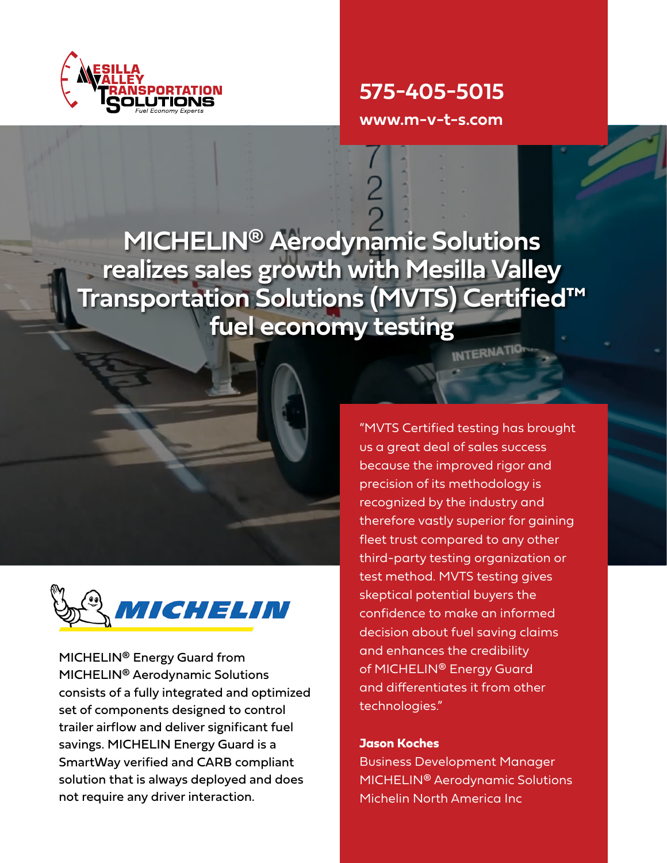

**575-405-5015**

**www.m-v-t-s.com**

**MICHELIN® Aerodynamic Solutions realizes sales growth with Mesilla Valley Transportation Solutions (MVTS) Certified™ fuel economy testing**



MICHELIN® Energy Guard from MICHELIN® Aerodynamic Solutions consists of a fully integrated and optimized set of components designed to control trailer airflow and deliver significant fuel savings. MICHELIN Energy Guard is a SmartWay verified and CARB compliant solution that is always deployed and does not require any driver interaction.

"MVTS Certified testing has brought us a great deal of sales success because the improved rigor and precision of its methodology is recognized by the industry and therefore vastly superior for gaining fleet trust compared to any other third-party testing organization or test method. MVTS testing gives skeptical potential buyers the confidence to make an informed decision about fuel saving claims and enhances the credibility of MICHELIN<sup>®</sup> Energy Guard and differentiates it from other technologies."

### **Jason Koches**

Business Development Manager MICHELIN® Aerodynamic Solutions Michelin North America Inc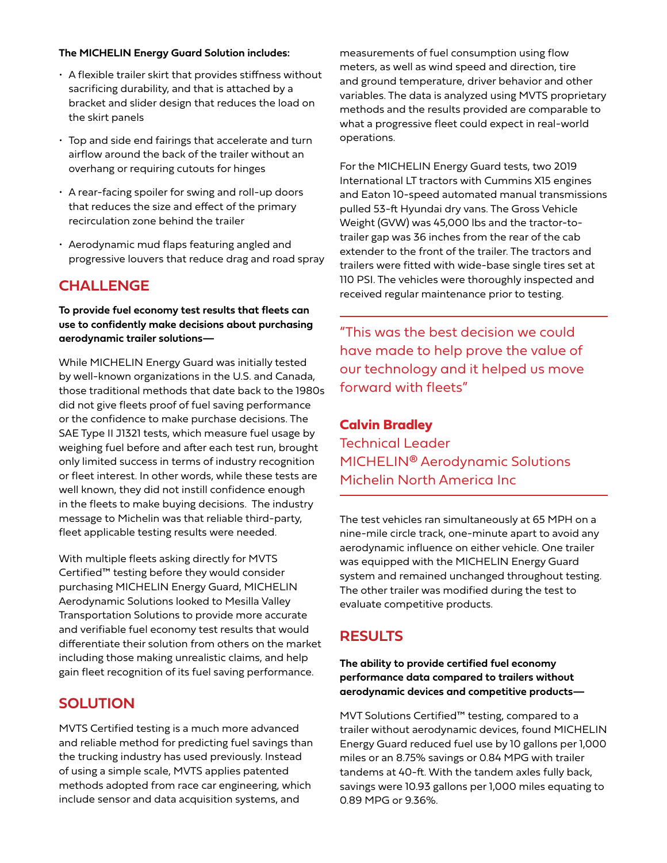#### **The MICHELIN Energy Guard Solution includes:**

- A flexible trailer skirt that provides stiffness without sacrificing durability, and that is attached by a bracket and slider design that reduces the load on the skirt panels
- Top and side end fairings that accelerate and turn airflow around the back of the trailer without an overhang or requiring cutouts for hinges
- A rear-facing spoiler for swing and roll-up doors that reduces the size and effect of the primary recirculation zone behind the trailer
- Aerodynamic mud flaps featuring angled and progressive louvers that reduce drag and road spray

# **CHALLENGE**

**To provide fuel economy test results that fleets can use to confidently make decisions about purchasing aerodynamic trailer solutions—**

While MICHELIN Energy Guard was initially tested by well-known organizations in the U.S. and Canada, those traditional methods that date back to the 1980s did not give fleets proof of fuel saving performance or the confidence to make purchase decisions. The SAE Type II J1321 tests, which measure fuel usage by weighing fuel before and after each test run, brought only limited success in terms of industry recognition or fleet interest. In other words, while these tests are well known, they did not instill confidence enough in the fleets to make buying decisions. The industry message to Michelin was that reliable third-party, fleet applicable testing results were needed.

With multiple fleets asking directly for MVTS Certified™ testing before they would consider purchasing MICHELIN Energy Guard, MICHELIN Aerodynamic Solutions looked to Mesilla Valley Transportation Solutions to provide more accurate and verifiable fuel economy test results that would differentiate their solution from others on the market including those making unrealistic claims, and help gain fleet recognition of its fuel saving performance.

# **SOLUTION**

MVTS Certified testing is a much more advanced and reliable method for predicting fuel savings than the trucking industry has used previously. Instead of using a simple scale, MVTS applies patented methods adopted from race car engineering, which include sensor and data acquisition systems, and

measurements of fuel consumption using flow meters, as well as wind speed and direction, tire and ground temperature, driver behavior and other variables. The data is analyzed using MVTS proprietary methods and the results provided are comparable to what a progressive fleet could expect in real-world operations.

For the MICHELIN Energy Guard tests, two 2019 International LT tractors with Cummins X15 engines and Eaton 10-speed automated manual transmissions pulled 53-ft Hyundai dry vans. The Gross Vehicle Weight (GVW) was 45,000 lbs and the tractor-totrailer gap was 36 inches from the rear of the cab extender to the front of the trailer. The tractors and trailers were fitted with wide-base single tires set at 110 PSI. The vehicles were thoroughly inspected and received regular maintenance prior to testing.

"This was the best decision we could have made to help prove the value of our technology and it helped us move forward with fleets"

### **Calvin Bradley**

Technical Leader MICHELIN® Aerodynamic Solutions Michelin North America Inc

The test vehicles ran simultaneously at 65 MPH on a nine-mile circle track, one-minute apart to avoid any aerodynamic influence on either vehicle. One trailer was equipped with the MICHELIN Energy Guard system and remained unchanged throughout testing. The other trailer was modified during the test to evaluate competitive products.

### **RESULTS**

**The ability to provide certified fuel economy performance data compared to trailers without aerodynamic devices and competitive products—**

MVT Solutions Certified™ testing, compared to a trailer without aerodynamic devices, found MICHELIN Energy Guard reduced fuel use by 10 gallons per 1,000 miles or an 8.75% savings or 0.84 MPG with trailer tandems at 40-ft. With the tandem axles fully back, savings were 10.93 gallons per 1,000 miles equating to 0.89 MPG or 9.36%.